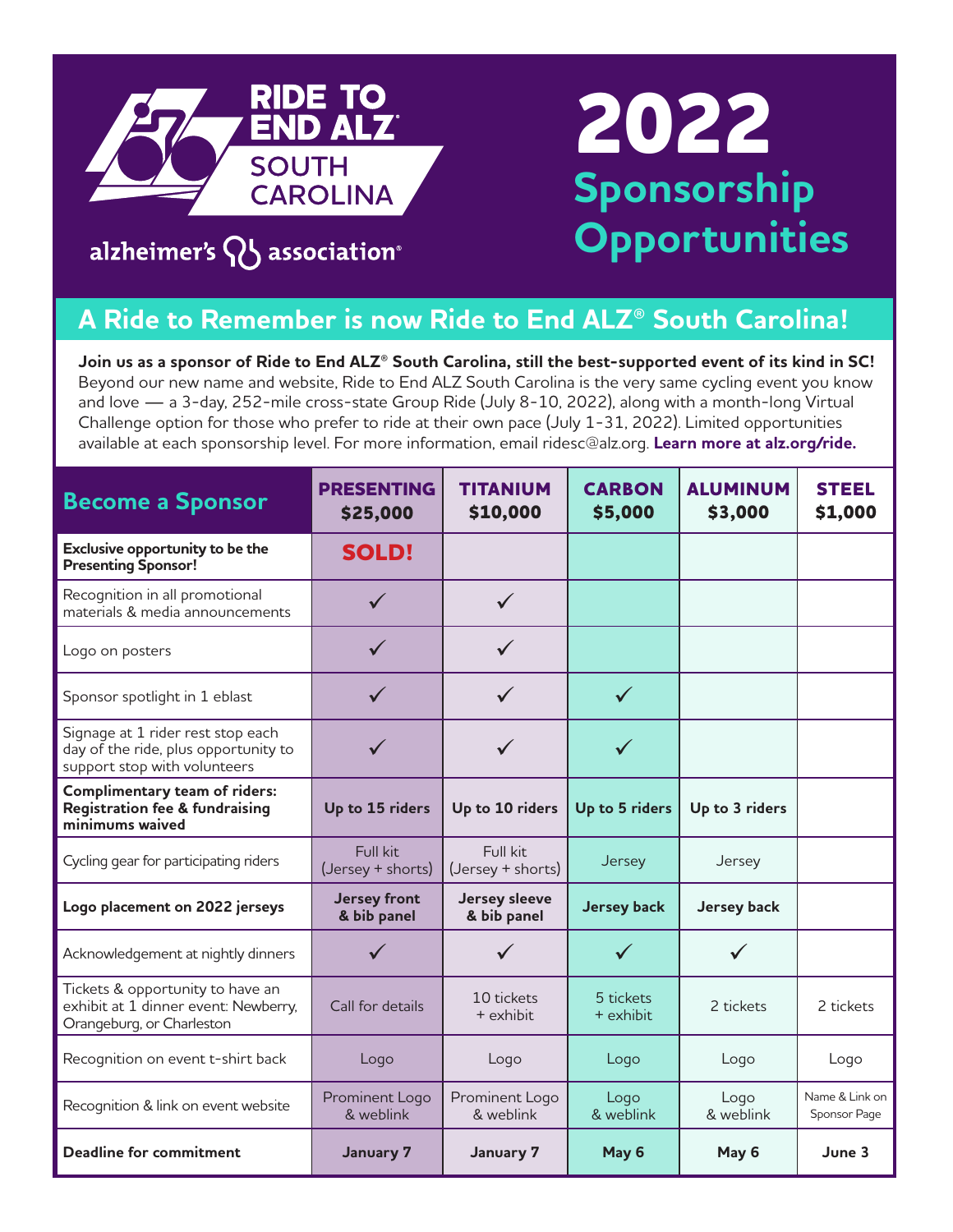

# **2022 Sponsorship Opportunities**

### alzheimer's  $\mathsf{Q}$  association®

### **A Ride to Remember is now Ride to End ALZ® South Carolina!**

**Join us as a sponsor of Ride to End ALZ® South Carolina, still the best-supported event of its kind in SC!**  Beyond our new name and website, Ride to End ALZ South Carolina is the very same cycling event you know and love — a 3-day, 252-mile cross-state Group Ride (July 8-10, 2022), along with a month-long Virtual Challenge option for those who prefer to ride at their own pace (July 1-31, 2022). Limited opportunities available at each sponsorship level. For more information, email ridesc@alz.org. **Learn more at alz.org/ride.**

| <b>Become a Sponsor</b>                                                                                   | <b>PRESENTING</b><br>\$25,000      | <b>TITANIUM</b><br>\$10,000         | <b>CARBON</b><br>\$5,000 | <b>ALUMINUM</b><br>\$3,000 | <b>STEEL</b><br>\$1,000        |
|-----------------------------------------------------------------------------------------------------------|------------------------------------|-------------------------------------|--------------------------|----------------------------|--------------------------------|
| Exclusive opportunity to be the<br><b>Presenting Sponsor!</b>                                             | <b>SOLD!</b>                       |                                     |                          |                            |                                |
| Recognition in all promotional<br>materials & media announcements                                         | $\checkmark$                       | $\checkmark$                        |                          |                            |                                |
| Logo on posters                                                                                           |                                    |                                     |                          |                            |                                |
| Sponsor spotlight in 1 eblast                                                                             | $\checkmark$                       |                                     | $\checkmark$             |                            |                                |
| Signage at 1 rider rest stop each<br>day of the ride, plus opportunity to<br>support stop with volunteers |                                    |                                     |                          |                            |                                |
| <b>Complimentary team of riders:</b><br><b>Registration fee &amp; fundraising</b><br>minimums waived      | Up to 15 riders                    | Up to 10 riders                     | Up to 5 riders           | Up to 3 riders             |                                |
| Cycling gear for participating riders                                                                     | Full kit<br>(Jersey + shorts)      | Full kit<br>(Jersey + shorts)       | Jersey                   | Jersey                     |                                |
| Logo placement on 2022 jerseys                                                                            | <b>Jersey front</b><br>& bib panel | <b>Jersey sleeve</b><br>& bib panel | <b>Jersey back</b>       | <b>Jersey back</b>         |                                |
| Acknowledgement at nightly dinners                                                                        |                                    |                                     |                          |                            |                                |
| Tickets & opportunity to have an<br>exhibit at 1 dinner event: Newberry,<br>Orangeburg, or Charleston     | Call for details                   | 10 tickets<br>+ exhibit             | 5 tickets<br>+ exhibit   | 2 tickets                  | 2 tickets                      |
| Recognition on event t-shirt back                                                                         | Logo                               | Logo                                | Logo                     | Logo                       | Logo                           |
| Recognition & link on event website                                                                       | Prominent Logo<br>& weblink        | Prominent Logo<br>& weblink         | Logo<br>& weblink        | Logo<br>& weblink          | Name & Link on<br>Sponsor Page |
| <b>Deadline for commitment</b>                                                                            | January 7                          | January 7                           | May 6                    | May 6                      | June 3                         |